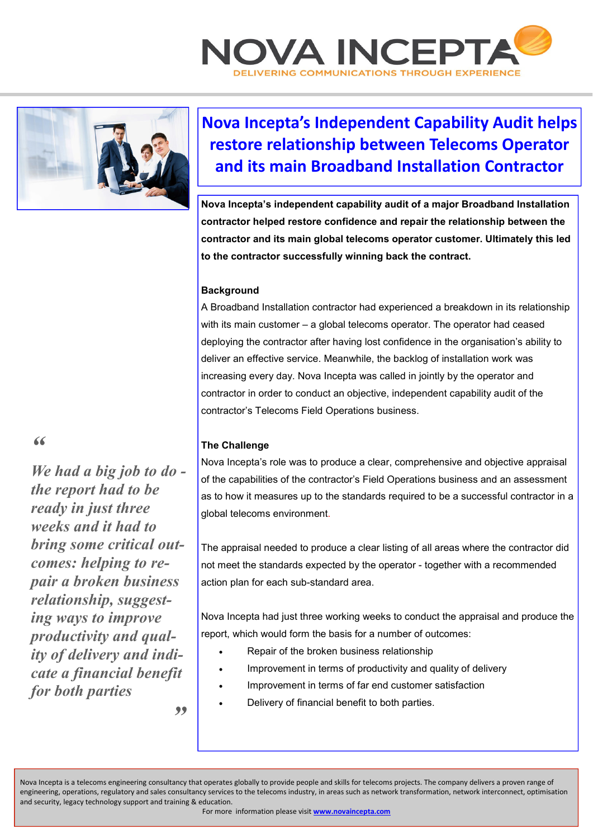



# **Nova Incepta's Independent Capability Audit helps restore relationship between Telecoms Operator and its main Broadband Installation Contractor**

**Nova Incepta's independent capability audit of a major Broadband Installation contractor helped restore confidence and repair the relationship between the contractor and its main global telecoms operator customer. Ultimately this led to the contractor successfully winning back the contract.** 

## **Background**

A Broadband Installation contractor had experienced a breakdown in its relationship with its main customer – a global telecoms operator. The operator had ceased deploying the contractor after having lost confidence in the organisation's ability to deliver an effective service. Meanwhile, the backlog of installation work was increasing every day. Nova Incepta was called in jointly by the operator and contractor in order to conduct an objective, independent capability audit of the contractor's Telecoms Field Operations business.

### **The Challenge**

Nova Incepta's role was to produce a clear, comprehensive and objective appraisal of the capabilities of the contractor's Field Operations business and an assessment as to how it measures up to the standards required to be a successful contractor in a global telecoms environment.

The appraisal needed to produce a clear listing of all areas where the contractor did not meet the standards expected by the operator - together with a recommended action plan for each sub-standard area.

Nova Incepta had just three working weeks to conduct the appraisal and produce the report, which would form the basis for a number of outcomes:

- Repair of the broken business relationship
- Improvement in terms of productivity and quality of delivery
- Improvement in terms of far end customer satisfaction
- Delivery of financial benefit to both parties.

Nova Incepta is a telecoms engineering consultancy that operates globally to provide people and skills for telecoms projects. The company delivers a proven range of engineering, operations, regulatory and sales consultancy services to the telecoms industry, in areas such as network transformation, network interconnect, optimisation and security, legacy technology support and training & education.

For more information please visit **www.novaincepta.com** 

*"* 

*We had a big job to do the report had to be ready in just three weeks and it had to bring some critical outcomes: helping to repair a broken business relationship, suggesting ways to improve productivity and quality of delivery and indicate a financial benefit for both parties* 

*"*